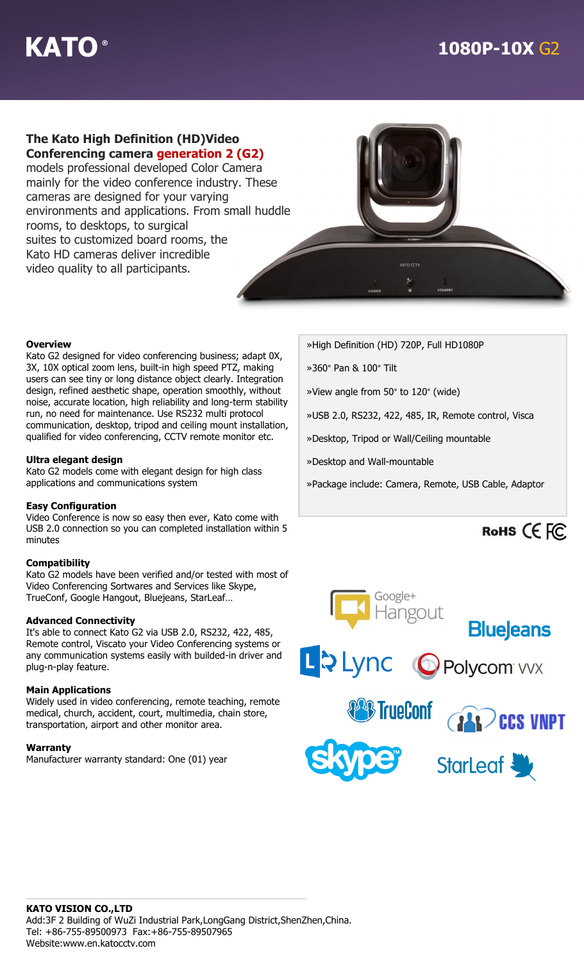# **The Kato High Definition (HD)Video**

**Conferencing camera generation 2 (G2)** models professional developed Color Camera mainly for the video conference industry. These cameras are designed for your varying environments and applications. From small huddle rooms, to desktops, to surgical suites to customized board rooms, the Kato HD cameras deliver incredible video quality to all participants.



#### **Overview**

Kato G2 designed for video conferencing business; adapt 0X, 3X, 10X optical zoom lens, built-in high speed PTZ, making users can see tiny or long distance object clearly. Integration design, refined aesthetic shape, operation smoothly, without noise, accurate location, high reliability and long-term stability run, no need for maintenance. Use RS232 multi protocol communication, desktop, tripod and ceiling mount installation, qualified for video conferencing, CCTV remote monitor etc.

### **Ultra elegant design**

Kato G2 models come with elegant design for high class applications and communications system

#### **Easy Configuration**

Video Conference is now so easy then ever, Kato come with USB 2.0 connection so you can completed installation within 5 minutes

#### **Compatibility**

Kato G2 models have been verified and/or tested with most of Video Conferencing Sortwares and Services like Skype, TrueConf, Google Hangout, Bluejeans, StarLeaf…

#### **Advanced Connectivity**

It's able to connect Kato G2 via USB 2.0, RS232, 422, 485, Remote control, Viscato your Video Conferencing systems or any communication systems easily with builded-in driver and plug-n-play feature.

#### **Main Applications**

Widely used in video conferencing, remote teaching, remote medical, church, accident, court, multimedia, chain store, transportation, airport and other monitor area.

#### **Warranty**

Manufacturer warranty standard: One (01) year

»High Definition (HD) 720P, Full HD1080P

»360° Pan & 100° Tilt

»View angle from 50° to 120° (wide)

»USB 2.0, RS232, 422, 485, IR, Remote control, Visca

»Desktop, Tripod or Wall/Ceiling mountable

»Desktop and Wall-mountable

»Package include: Camera, Remote, USB Cable, Adaptor